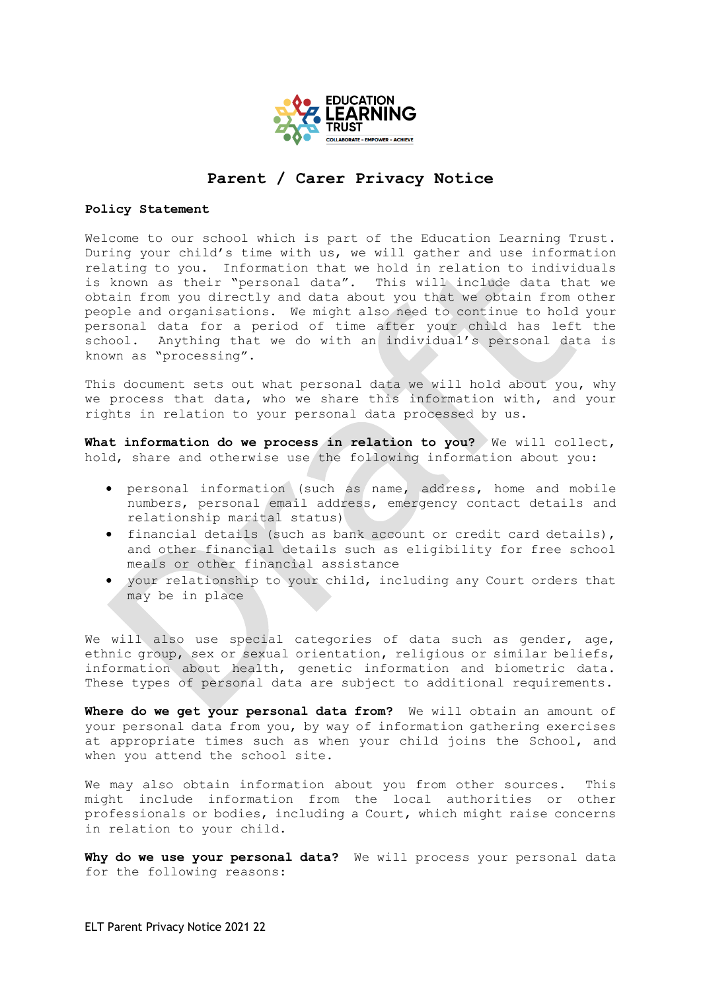

## **Parent / Carer Privacy Notice**

## **Policy Statement**

Welcome to our school which is part of the Education Learning Trust. During your child's time with us, we will gather and use information relating to you. Information that we hold in relation to individuals is known as their "personal data". This will include data that we obtain from you directly and data about you that we obtain from other people and organisations. We might also need to continue to hold your personal data for a period of time after your child has left the school. Anything that we do with an individual's personal data is known as "processing".

This document sets out what personal data we will hold about you, why we process that data, who we share this information with, and your rights in relation to your personal data processed by us.

**What information do we process in relation to you?** We will collect, hold, share and otherwise use the following information about you:

- personal information (such as name, address, home and mobile numbers, personal email address, emergency contact details and relationship marital status)
- financial details (such as bank account or credit card details), and other financial details such as eligibility for free school meals or other financial assistance
- your relationship to your child, including any Court orders that may be in place

We will also use special categories of data such as gender, age, ethnic group, sex or sexual orientation, religious or similar beliefs, information about health, genetic information and biometric data. These types of personal data are subject to additional requirements.

Where do we get your personal data from? We will obtain an amount of your personal data from you, by way of information gathering exercises at appropriate times such as when your child joins the School, and when you attend the school site.

We may also obtain information about you from other sources. This might include information from the local authorities or other professionals or bodies, including a Court, which might raise concerns in relation to your child.

**Why do we use your personal data?** We will process your personal data for the following reasons: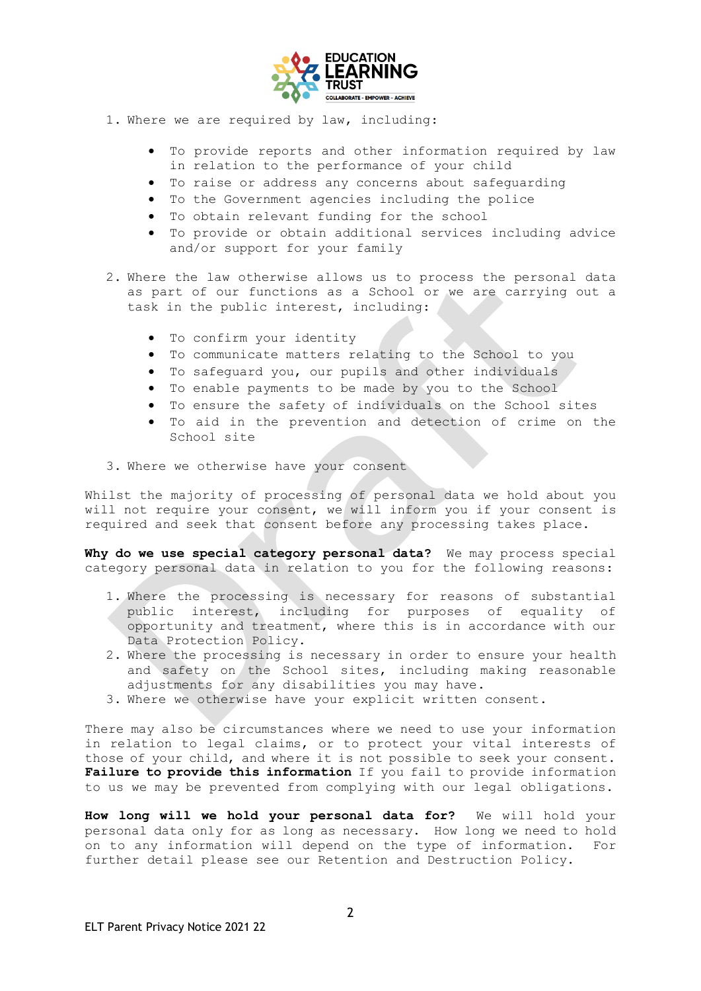

- 1. Where we are required by law, including:
	- To provide reports and other information required by law in relation to the performance of your child
	- To raise or address any concerns about safeguarding
	- To the Government agencies including the police
	- To obtain relevant funding for the school
	- To provide or obtain additional services including advice and/or support for your family
- 2. Where the law otherwise allows us to process the personal data as part of our functions as a School or we are carrying out a task in the public interest, including:
	- To confirm your identity
	- To communicate matters relating to the School to you
	- To safeguard you, our pupils and other individuals
	- To enable payments to be made by you to the School
	- To ensure the safety of individuals on the School sites
	- To aid in the prevention and detection of crime on the School site
- 3. Where we otherwise have your consent

Whilst the majority of processing of personal data we hold about you will not require your consent, we will inform you if your consent is required and seek that consent before any processing takes place.

**Why do we use special category personal data?** We may process special category personal data in relation to you for the following reasons:

- 1. Where the processing is necessary for reasons of substantial public interest, including for purposes of equality of opportunity and treatment, where this is in accordance with our Data Protection Policy.
- 2. Where the processing is necessary in order to ensure your health and safety on the School sites, including making reasonable adjustments for any disabilities you may have.
- 3. Where we otherwise have your explicit written consent.

There may also be circumstances where we need to use your information in relation to legal claims, or to protect your vital interests of those of your child, and where it is not possible to seek your consent. **Failure to provide this information** If you fail to provide information to us we may be prevented from complying with our legal obligations.

**How long will we hold your personal data for?** We will hold your personal data only for as long as necessary. How long we need to hold on to any information will depend on the type of information. For further detail please see our Retention and Destruction Policy.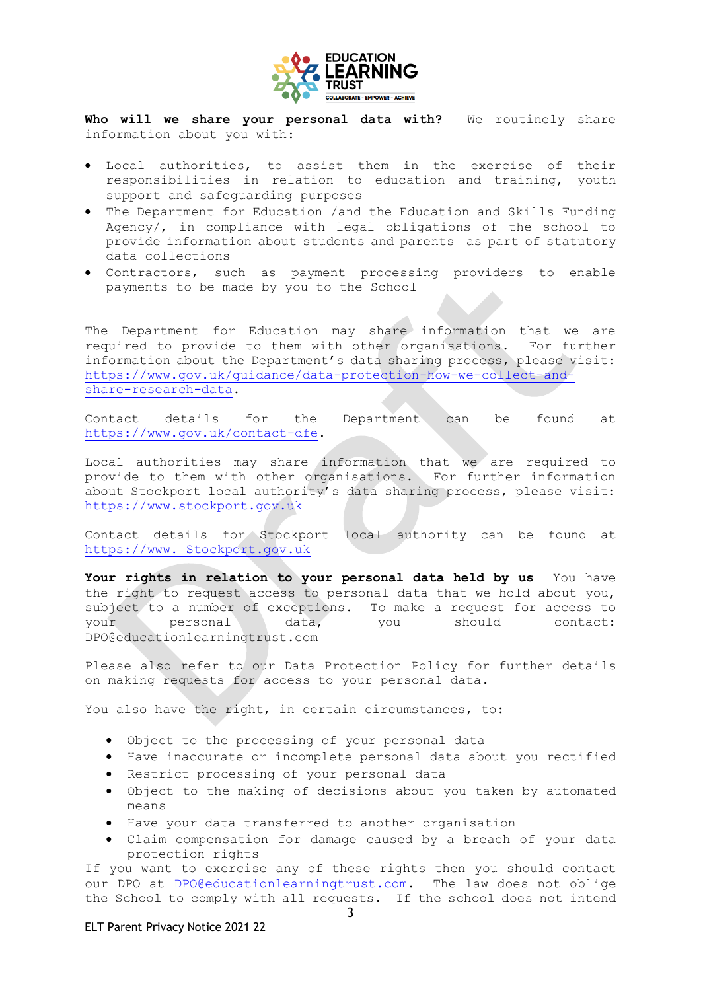

Who will we share your personal data with? We routinely share information about you with:

- Local authorities, to assist them in the exercise of their responsibilities in relation to education and training, youth support and safeguarding purposes
- The Department for Education /and the Education and Skills Funding Agency/, in compliance with legal obligations of the school to provide information about students and parents as part of statutory data collections
- Contractors, such as payment processing providers to enable payments to be made by you to the School

The Department for Education may share information that we are required to provide to them with other organisations. For further information about the Department's data sharing process, please visit: [https://www.gov.uk/guidance/data-protection-how-we-collect-and](https://www.gov.uk/guidance/data-protection-how-we-collect-and-share-research-data)[share-research-data.](https://www.gov.uk/guidance/data-protection-how-we-collect-and-share-research-data)

Contact details for the Department can be found at [https://www.gov.uk/contact-dfe.](https://www.gov.uk/contact-dfe)

Local authorities may share information that we are required to provide to them with other organisations. For further information about Stockport local authority's data sharing process, please visit: [https://www.stockport.gov.uk](https://www.stockport.gov.uk/)

Contact details for Stockport local authority can be found at https://www. Stockport.gov.uk

**Your rights in relation to your personal data held by us** You have the right to request access to personal data that we hold about you, subject to a number of exceptions. To make a request for access to your personal data, you should contact: DPO@educationlearningtrust.com

Please also refer to our Data Protection Policy for further details on making requests for access to your personal data.

You also have the right, in certain circumstances, to:

- Object to the processing of your personal data
- Have inaccurate or incomplete personal data about you rectified
- Restrict processing of your personal data
- Object to the making of decisions about you taken by automated means
- Have your data transferred to another organisation
- Claim compensation for damage caused by a breach of your data protection rights

If you want to exercise any of these rights then you should contact our DPO at [DPO@educationlearningtrust.com.](mailto:DPO@educationlearningtrust.com) The law does not oblige the School to comply with all requests. If the school does not intend

## ELT Parent Privacy Notice 2021 22